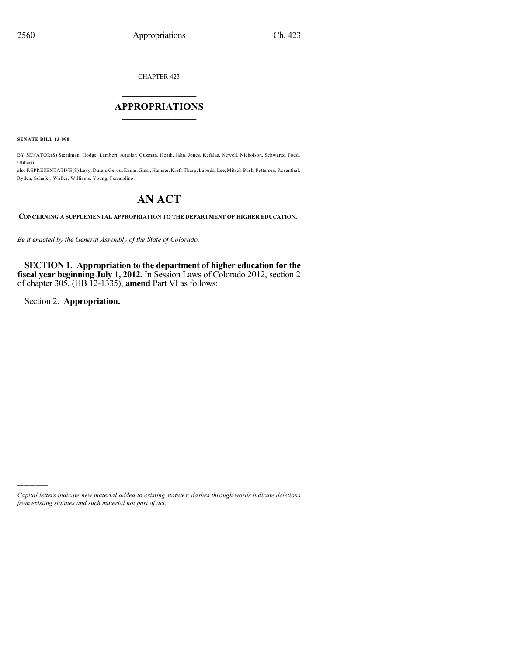CHAPTER 423

# $\mathcal{L}_\text{max}$  . The set of the set of the set of the set of the set of the set of the set of the set of the set of the set of the set of the set of the set of the set of the set of the set of the set of the set of the set **APPROPRIATIONS**  $\_$   $\_$   $\_$   $\_$   $\_$   $\_$   $\_$   $\_$

**SENATE BILL 13-090**

BY SENATOR(S) Steadman, Hodge, Lambert, Aguilar, Guzman, Heath, Jahn, Jones, Kefalas, Newell, Nicholson, Schwartz, Todd, Ulibarri;

also REPRESENTATIVE(S) Levy, Duran, Gerou, Exum, Ginal, Hamner, Kraft-Tharp, Labuda, Lee, Mitsch Bush, Pettersen, Rosenthal, Ryden, Schafer, Waller, Williams, Young, Ferrandino.

# **AN ACT**

**CONCERNING A SUPPLEMENTAL APPROPRIATION TO THE DEPARTMENT OF HIGHER EDUCATION.**

*Be it enacted by the General Assembly of the State of Colorado:*

**SECTION 1. Appropriation to the department of higher education for the fiscal year beginning July 1, 2012.** In Session Laws of Colorado 2012, section 2 of chapter 305, (HB 12-1335), **amend** Part VI as follows:

Section 2. **Appropriation.**

)))))

*Capital letters indicate new material added to existing statutes; dashes through words indicate deletions from existing statutes and such material not part of act.*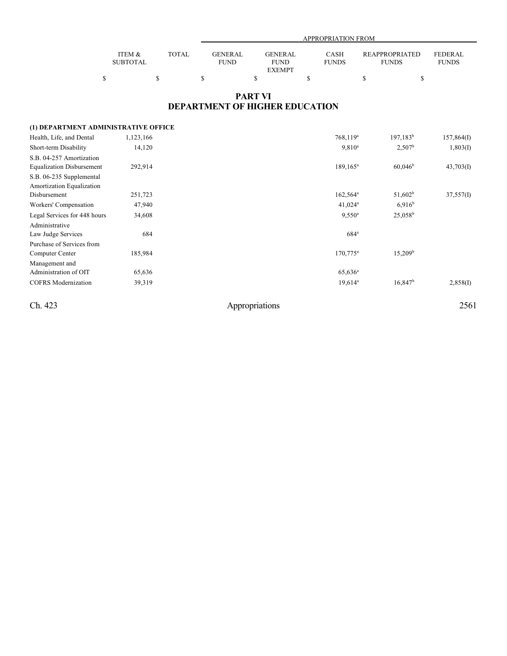|                 |        | <b>APPROPRIATION FROM</b> |                |              |                |                |  |  |
|-----------------|--------|---------------------------|----------------|--------------|----------------|----------------|--|--|
|                 |        |                           |                |              |                |                |  |  |
| ITEM &          | TOTAL. | <b>GENERAL</b>            | <b>GENERAL</b> | CASH         | REAPPROPRIATED | <b>FEDERAL</b> |  |  |
| <b>SUBTOTAL</b> |        | <b>FUND</b>               | <b>FUND</b>    | <b>FUNDS</b> | <b>FUNDS</b>   | <b>FUNDS</b>   |  |  |
|                 |        |                           | <b>EXEMPT</b>  |              |                |                |  |  |
|                 |        |                           |                |              |                |                |  |  |

## **PART VI DEPARTMENT OF HIGHER EDUCATION**

## **(1) DEPARTMENT ADMINISTRATIVE OFFICE**

| Health, Life, and Dental         | 1,123,166 | $768,119^a$           | $197,183^b$         | 157,864(I) |
|----------------------------------|-----------|-----------------------|---------------------|------------|
| Short-term Disability            | 14,120    | $9,810^a$             | $2,507^{\rm b}$     | 1,803(I)   |
| S.B. 04-257 Amortization         |           |                       |                     |            |
| <b>Equalization Disbursement</b> | 292,914   | $189.165^a$           | 60.046 <sup>b</sup> | 43,703(I)  |
| S.B. 06-235 Supplemental         |           |                       |                     |            |
| Amortization Equalization        |           |                       |                     |            |
| Disbursement                     | 251,723   | $162,564^{\circ}$     | $51,602^b$          | 37,557(I)  |
| Workers' Compensation            | 47,940    | $41,024$ <sup>a</sup> | 6.916 <sup>b</sup>  |            |
| Legal Services for 448 hours     | 34,608    | $9,550^{\circ}$       | $25,058^{\rm b}$    |            |
| Administrative                   |           |                       |                     |            |
| Law Judge Services               | 684       | $684$ <sup>a</sup>    |                     |            |
| Purchase of Services from        |           |                       |                     |            |
| Computer Center                  | 185,984   | $170,775^{\rm a}$     | $15,209^{\rm b}$    |            |
| Management and                   |           |                       |                     |            |
| Administration of OIT            | 65,636    | $65,636^{\rm a}$      |                     |            |
| <b>COFRS</b> Modernization       | 39,319    | $19,614^a$            | $16,847^b$          | 2,858(I)   |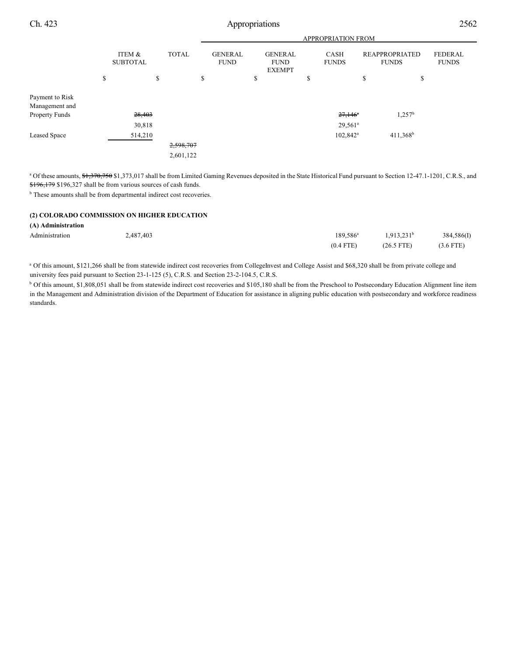|                 |                           |         |              | <b>APPROPRIATION FROM</b>     |    |                                                |  |                             |                   |                                       |                                |  |
|-----------------|---------------------------|---------|--------------|-------------------------------|----|------------------------------------------------|--|-----------------------------|-------------------|---------------------------------------|--------------------------------|--|
|                 | ITEM &<br><b>SUBTOTAL</b> |         | <b>TOTAL</b> | <b>GENERAL</b><br><b>FUND</b> |    | <b>GENERAL</b><br><b>FUND</b><br><b>EXEMPT</b> |  | <b>CASH</b><br><b>FUNDS</b> |                   | <b>REAPPROPRIATED</b><br><b>FUNDS</b> | <b>FEDERAL</b><br><b>FUNDS</b> |  |
|                 | \$                        |         | \$           |                               | \$ | \$                                             |  | \$                          |                   | \$                                    | \$                             |  |
| Payment to Risk |                           |         |              |                               |    |                                                |  |                             |                   |                                       |                                |  |
| Management and  |                           |         |              |                               |    |                                                |  |                             |                   |                                       |                                |  |
| Property Funds  |                           | 28,403  |              |                               |    |                                                |  |                             | $27,146^{\circ}$  |                                       | $1,257^b$                      |  |
|                 |                           | 30,818  |              |                               |    |                                                |  |                             | $29,561^a$        |                                       |                                |  |
| Leased Space    |                           | 514,210 |              |                               |    |                                                |  |                             | $102,842^{\circ}$ |                                       | $411,368^b$                    |  |
|                 |                           |         |              | 2,598,707                     |    |                                                |  |                             |                   |                                       |                                |  |
|                 |                           |         |              | 2,601,122                     |    |                                                |  |                             |                   |                                       |                                |  |
|                 |                           |         |              |                               |    |                                                |  |                             |                   |                                       |                                |  |

<sup>a</sup> Of these amounts, \$1,370,750 \$1,373,017 shall be from Limited Gaming Revenues deposited in the State Historical Fund pursuant to Section 12-47.1-1201, C.R.S., and \$196,179 \$196,327 shall be from various sources of cash funds.

<sup>b</sup> These amounts shall be from departmental indirect cost recoveries.

## **(2) COLORADO COMMISSION ON HIGHER EDUCATION**

### **(A) Administration**

| Administration | 2,487,403 | $189.586^{\circ}$ | 1.913.231 <sup>b</sup> | 384,586(I)  |
|----------------|-----------|-------------------|------------------------|-------------|
|                |           | $(0.4$ FTE)       | $(26.5 \text{ FTE})$   | $(3.6$ FTE) |

<sup>a</sup> Of this amount, \$121,266 shall be from statewide indirect cost recoveries from CollegeInvest and College Assist and \$68,320 shall be from private college and university fees paid pursuant to Section 23-1-125 (5), C.R.S. and Section 23-2-104.5, C.R.S.

<sup>b</sup> Of this amount, \$1,808,051 shall be from statewide indirect cost recoveries and \$105,180 shall be from the Preschool to Postsecondary Education Alignment line item in the Management and Administration division of the Department of Education for assistance in aligning public education with postsecondary and workforce readiness standards.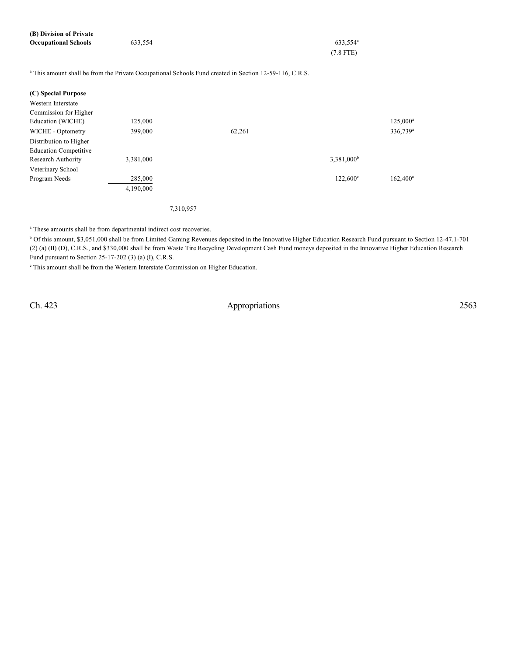| (B) Division of Private     |         |                      |
|-----------------------------|---------|----------------------|
| <b>Occupational Schools</b> | 633.554 | 633.554 <sup>a</sup> |
|                             |         | $(7.8$ FTE)          |
|                             |         |                      |

<sup>a</sup> This amount shall be from the Private Occupational Schools Fund created in Section 12-59-116, C.R.S.

| 125,000   |        |                        | 125,000 <sup>a</sup> |
|-----------|--------|------------------------|----------------------|
| 399,000   | 62,261 |                        | 336,739 <sup>a</sup> |
|           |        |                        |                      |
|           |        |                        |                      |
| 3,381,000 |        | 3,381,000 <sup>b</sup> |                      |
|           |        |                        |                      |
| 285,000   |        | $122,600^{\circ}$      | $162,400^a$          |
| 4,190,000 |        |                        |                      |
|           |        |                        |                      |

7,310,957

<sup>a</sup> These amounts shall be from departmental indirect cost recoveries.

<sup>b</sup> Of this amount, \$3,051,000 shall be from Limited Gaming Revenues deposited in the Innovative Higher Education Research Fund pursuant to Section 12-47.1-701 (2) (a) (II) (D), C.R.S., and \$330,000 shall be from Waste Tire Recycling Development Cash Fund moneys deposited in the Innovative Higher Education Research Fund pursuant to Section 25-17-202 (3) (a) (I), C.R.S.

<sup>c</sup> This amount shall be from the Western Interstate Commission on Higher Education.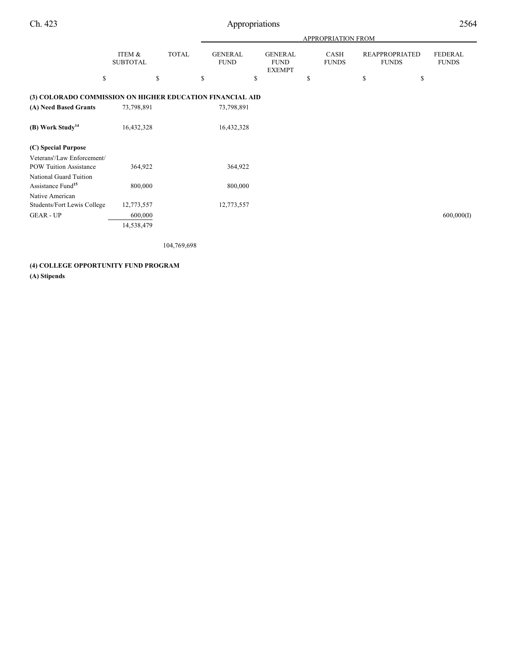|                                                             |                           |              |                               |                                                | APPROPRIATION FROM   |                                       |                                |
|-------------------------------------------------------------|---------------------------|--------------|-------------------------------|------------------------------------------------|----------------------|---------------------------------------|--------------------------------|
|                                                             | ITEM &<br><b>SUBTOTAL</b> | <b>TOTAL</b> | <b>GENERAL</b><br><b>FUND</b> | <b>GENERAL</b><br><b>FUND</b><br><b>EXEMPT</b> | CASH<br><b>FUNDS</b> | <b>REAPPROPRIATED</b><br><b>FUNDS</b> | <b>FEDERAL</b><br><b>FUNDS</b> |
| \$                                                          |                           | \$           | S                             | \$                                             | \$                   | \$<br>\$                              |                                |
| (3) COLORADO COMMISSION ON HIGHER EDUCATION FINANCIAL AID   |                           |              |                               |                                                |                      |                                       |                                |
| (A) Need Based Grants                                       | 73,798,891                |              | 73,798,891                    |                                                |                      |                                       |                                |
| (B) Work Study <sup>14</sup>                                | 16,432,328                |              | 16,432,328                    |                                                |                      |                                       |                                |
| (C) Special Purpose                                         |                           |              |                               |                                                |                      |                                       |                                |
| Veterans'/Law Enforcement/<br><b>POW Tuition Assistance</b> | 364,922                   |              | 364,922                       |                                                |                      |                                       |                                |
| National Guard Tuition<br>Assistance Fund <sup>15</sup>     | 800,000                   |              | 800,000                       |                                                |                      |                                       |                                |
| Native American<br>Students/Fort Lewis College              | 12,773,557                |              | 12,773,557                    |                                                |                      |                                       |                                |
| <b>GEAR - UP</b>                                            | 600,000<br>14,538,479     |              |                               |                                                |                      |                                       | 600,000(I)                     |

104,769,698

## **(4) COLLEGE OPPORTUNITY FUND PROGRAM (A) Stipends**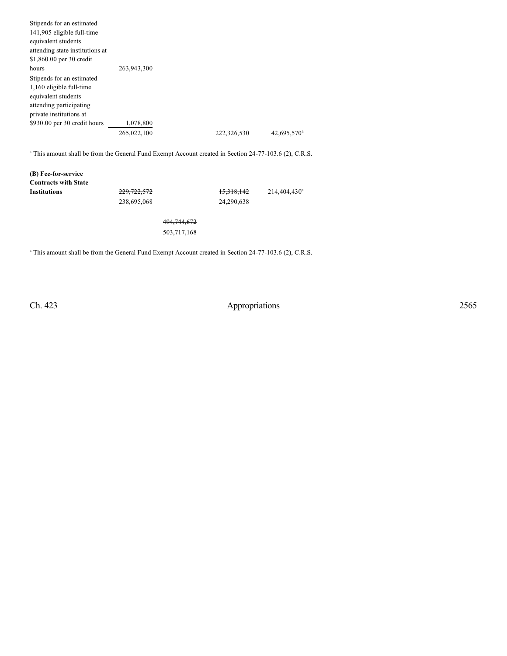| Stipends for an estimated                                                                                                          |                                                                                                                   |             |                         |
|------------------------------------------------------------------------------------------------------------------------------------|-------------------------------------------------------------------------------------------------------------------|-------------|-------------------------|
| 141,905 eligible full-time                                                                                                         |                                                                                                                   |             |                         |
| equivalent students                                                                                                                |                                                                                                                   |             |                         |
| attending state institutions at                                                                                                    |                                                                                                                   |             |                         |
| \$1,860.00 per 30 credit                                                                                                           |                                                                                                                   |             |                         |
| hours                                                                                                                              | 263,943,300                                                                                                       |             |                         |
| Stipends for an estimated<br>1,160 eligible full-time<br>equivalent students<br>attending participating<br>private institutions at |                                                                                                                   |             |                         |
| \$930.00 per 30 credit hours                                                                                                       | 1,078,800                                                                                                         |             |                         |
|                                                                                                                                    | 265,022,100                                                                                                       | 222,326,530 | 42,695,570 <sup>a</sup> |
|                                                                                                                                    | <sup>a</sup> This amount shall be from the General Fund Exempt Account created in Section 24-77-103.6 (2), C.R.S. |             |                         |

**(B) Fee-for-service Contracts with State 229,722,572** 15,318,142 238,695,068 24,290,638

> 494,744,672 503,717,168

<sup>a</sup> This amount shall be from the General Fund Exempt Account created in Section 24-77-103.6 (2), C.R.S.

Ch. 423 Appropriations 2565

214,404,430<sup>a</sup>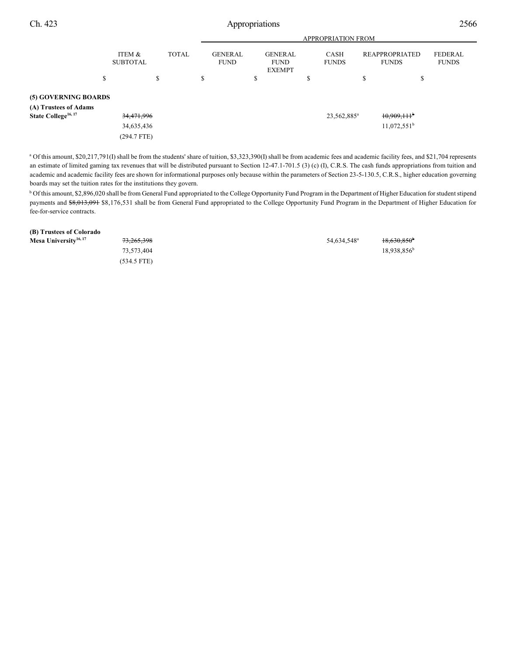|                                 | <b>APPROPRIATION FROM</b> |   |                                               |  |                                                |  |   |                         |         |                                       |                         |
|---------------------------------|---------------------------|---|-----------------------------------------------|--|------------------------------------------------|--|---|-------------------------|---------|---------------------------------------|-------------------------|
|                                 | ITEM &<br><b>SUBTOTAL</b> |   | <b>TOTAL</b><br><b>GENERAL</b><br><b>FUND</b> |  | <b>GENERAL</b><br><b>FUND</b><br><b>EXEMPT</b> |  |   | CASH<br><b>FUNDS</b>    |         | <b>REAPPROPRIATED</b><br><b>FUNDS</b> | FEDERAL<br><b>FUNDS</b> |
| S                               |                           | S | S                                             |  | \$                                             |  | Ф |                         | Ф.<br>D | \$                                    |                         |
| (5) GOVERNING BOARDS            |                           |   |                                               |  |                                                |  |   |                         |         |                                       |                         |
| (A) Trustees of Adams           |                           |   |                                               |  |                                                |  |   |                         |         |                                       |                         |
| State College <sup>16, 17</sup> | 34,471,996                |   |                                               |  |                                                |  |   | 23,562,885 <sup>a</sup> |         | $10,909,111$ <sup>b</sup>             |                         |
|                                 | 34,635,436                |   |                                               |  |                                                |  |   |                         |         | $11,072,551^b$                        |                         |
|                                 | $(294.7$ FTE)             |   |                                               |  |                                                |  |   |                         |         |                                       |                         |

<sup>a</sup> Of this amount, \$20,217,791(I) shall be from the students' share of tuition, \$3,323,390(I) shall be from academic fees and academic facility fees, and \$21,704 represents an estimate of limited gaming tax revenues that will be distributed pursuant to Section 12-47.1-701.5 (3) (c) (I), C.R.S. The cash funds appropriations from tuition and academic and academic facility fees are shown for informational purposes only because within the parameters of Section 23-5-130.5, C.R.S., higher education governing boards may set the tuition rates for the institutions they govern.

<sup>b</sup> Of this amount, \$2,896,020 shall be from General Fund appropriated to the College Opportunity Fund Program in the Department of Higher Education for student stipend payments and \$8,013,091 \$8,176,531 shall be from General Fund appropriated to the College Opportunity Fund Program in the Department of Higher Education for fee-for-service contracts.

**(B) Trustees of Colorado Mesa University<sup>16, 17</sup> 13, 265,398** 54,634,548<sup>8</sup> 18,630,850<sup>b</sup> 73,573,404 18,938,856<sup>b</sup> (534.5 FTE)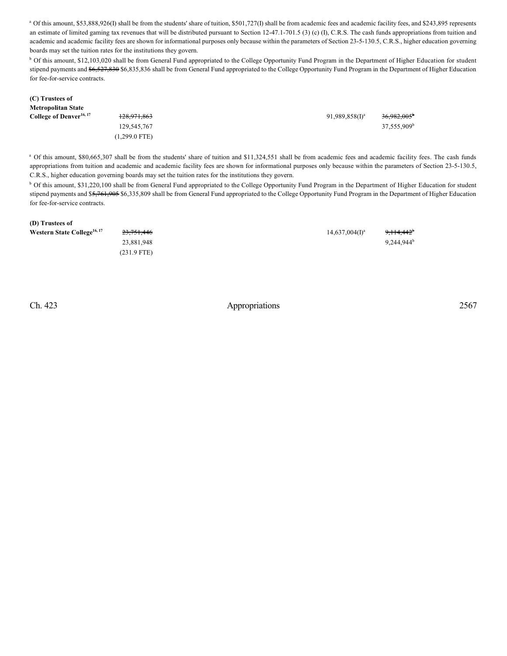<sup>a</sup> Of this amount, \$53,888,926(I) shall be from the students' share of tuition, \$501,727(I) shall be from academic fees and academic facility fees, and \$243,895 represents an estimate of limited gaming tax revenues that will be distributed pursuant to Section 12-47.1-701.5 (3) (c) (I), C.R.S. The cash funds appropriations from tuition and academic and academic facility fees are shown for informational purposes only because within the parameters of Section 23-5-130.5, C.R.S., higher education governing boards may set the tuition rates for the institutions they govern.

<sup>b</sup> Of this amount, \$12,103,020 shall be from General Fund appropriated to the College Opportunity Fund Program in the Department of Higher Education for student stipend payments and \$6,527,830 \$6,835,836 shall be from General Fund appropriated to the College Opportunity Fund Program in the Department of Higher Education for fee-for-service contracts.

| (C) Trustees of                     |                 |                   |                         |
|-------------------------------------|-----------------|-------------------|-------------------------|
| <b>Metropolitan State</b>           |                 |                   |                         |
| College of Denver <sup>16, 17</sup> | 128,971,863     | $91,989,858(1)^a$ | $36,982,005^{\circ}$    |
|                                     | 129,545,767     |                   | 37,555,909 <sup>b</sup> |
|                                     | $(1,299.0$ FTE) |                   |                         |

<sup>a</sup> Of this amount, \$80,665,307 shall be from the students' share of tuition and \$11,324,551 shall be from academic fees and academic facility fees. The cash funds appropriations from tuition and academic and academic facility fees are shown for informational purposes only because within the parameters of Section 23-5-130.5, C.R.S., higher education governing boards may set the tuition rates for the institutions they govern.

<sup>b</sup> Of this amount, \$31,220,100 shall be from General Fund appropriated to the College Opportunity Fund Program in the Department of Higher Education for student stipend payments and \$5,761,905 \$6,335,809 shall be from General Fund appropriated to the College Opportunity Fund Program in the Department of Higher Education for fee-for-service contracts.

| (D) Trustees of                         |               |                   |                        |
|-----------------------------------------|---------------|-------------------|------------------------|
| Western State College <sup>16, 17</sup> | 23,751,446    | $14,637,004(1)^a$ | 9,114,442 <sup>b</sup> |
|                                         | 23,881,948    |                   | $9,244,944^b$          |
|                                         | $(231.9$ FTE) |                   |                        |
|                                         |               |                   |                        |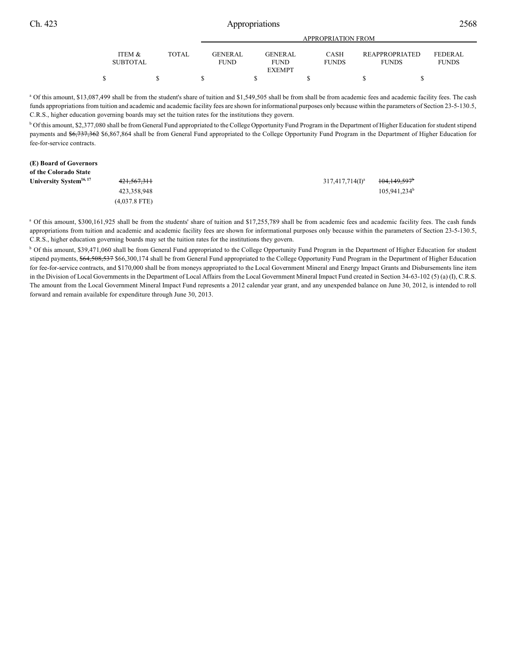| Ch. 423 | Appropriations            |              |                        |                                         |                             |                                |                         |  |
|---------|---------------------------|--------------|------------------------|-----------------------------------------|-----------------------------|--------------------------------|-------------------------|--|
|         |                           |              |                        |                                         | <b>APPROPRIATION FROM</b>   |                                |                         |  |
|         | ITEM &<br><b>SUBTOTAL</b> | <b>TOTAL</b> | GENERAL<br><b>FUND</b> | GENERAL<br><b>FUND</b><br><b>EXEMPT</b> | <b>CASH</b><br><b>FUNDS</b> | REAPPROPRIATED<br><b>FUNDS</b> | FEDERAL<br><b>FUNDS</b> |  |
|         |                           |              |                        |                                         |                             |                                |                         |  |

<sup>a</sup> Of this amount, \$13,087,499 shall be from the student's share of tuition and \$1,549,505 shall be from shall be from academic fees and academic facility fees. The cash funds appropriations from tuition and academic and academic facility fees are shown for informational purposes only because within the parameters of Section 23-5-130.5, C.R.S., higher education governing boards may set the tuition rates for the institutions they govern.

<sup>b</sup> Of this amount, \$2,377,080 shall be from General Fund appropriated to the College Opportunity Fund Program in the Department of Higher Education for student stipend payments and \$6,737,362 \$6,867,864 shall be from General Fund appropriated to the College Opportunity Fund Program in the Department of Higher Education for fee-for-service contracts.

| (E) Board of Governors              |                        |                    |                          |
|-------------------------------------|------------------------|--------------------|--------------------------|
| of the Colorado State               |                        |                    |                          |
| University System <sup>16, 17</sup> | <del>421,567,311</del> | $317,417,714(I)^a$ | 104,149,597 <sup>b</sup> |
|                                     | 423,358,948            |                    | $105.941.234^b$          |
|                                     | $(4,037.8$ FTE)        |                    |                          |

<sup>a</sup> Of this amount, \$300,161,925 shall be from the students' share of tuition and \$17,255,789 shall be from academic fees and academic facility fees. The cash funds appropriations from tuition and academic and academic facility fees are shown for informational purposes only because within the parameters of Section 23-5-130.5, C.R.S., higher education governing boards may set the tuition rates for the institutions they govern.

<sup>b</sup> Of this amount, \$39,471,060 shall be from General Fund appropriated to the College Opportunity Fund Program in the Department of Higher Education for student stipend payments, \$64,508,537 \$66,300,174 shall be from General Fund appropriated to the College Opportunity Fund Program in the Department of Higher Education for fee-for-service contracts, and \$170,000 shall be from moneys appropriated to the Local Government Mineral and Energy Impact Grants and Disbursements line item in the Division of Local Governments in the Department of Local Affairs from the Local Government Mineral Impact Fund created in Section 34-63-102 (5) (a) (I), C.R.S. The amount from the Local Government Mineral Impact Fund represents a 2012 calendar year grant, and any unexpended balance on June 30, 2012, is intended to roll forward and remain available for expenditure through June 30, 2013.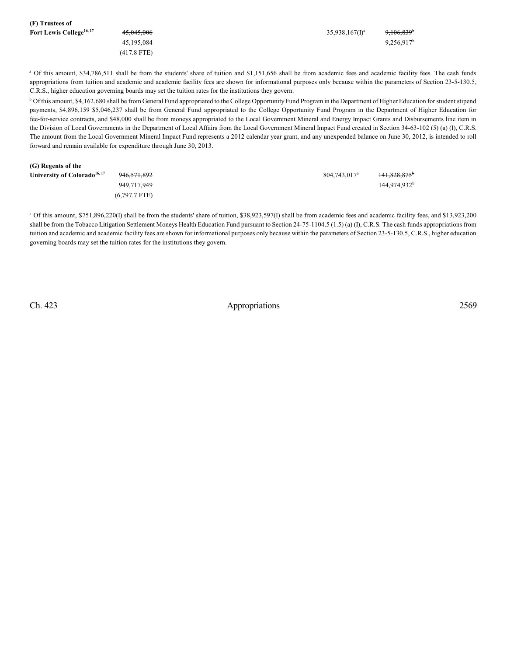| (F) Trustees of                      |               |                   |                        |
|--------------------------------------|---------------|-------------------|------------------------|
| Fort Lewis College <sup>16, 17</sup> | 45,045,006    | $35,938,167(1)^a$ | 9,106,839 <sup>b</sup> |
|                                      | 45.195.084    |                   | $9,256,917^b$          |
|                                      | $(417.8$ FTE) |                   |                        |

<sup>a</sup> Of this amount, \$34,786,511 shall be from the students' share of tuition and \$1,151,656 shall be from academic fees and academic facility fees. The cash funds appropriations from tuition and academic and academic facility fees are shown for informational purposes only because within the parameters of Section 23-5-130.5, C.R.S., higher education governing boards may set the tuition rates for the institutions they govern.

<sup>b</sup> Of this amount, \$4,162,680 shall be from General Fund appropriated to the College Opportunity Fund Program in the Department of Higher Education for student stipend payments, \$4,896,159 \$5,046,237 shall be from General Fund appropriated to the College Opportunity Fund Program in the Department of Higher Education for fee-for-service contracts, and \$48,000 shall be from moneys appropriated to the Local Government Mineral and Energy Impact Grants and Disbursements line item in the Division of Local Governments in the Department of Local Affairs from the Local Government Mineral Impact Fund created in Section 34-63-102 (5) (a) (I), C.R.S. The amount from the Local Government Mineral Impact Fund represents a 2012 calendar year grant, and any unexpended balance on June 30, 2012, is intended to roll forward and remain available for expenditure through June 30, 2013.

| (G) Regents of the                       |                        |                          |                          |
|------------------------------------------|------------------------|--------------------------|--------------------------|
| University of Colorado <sup>16, 17</sup> | <del>946,571,892</del> | 804,743,017 <sup>a</sup> | 141,828,875 <sup>b</sup> |
|                                          | 949.717.949            |                          | 144.974.932 <sup>b</sup> |
|                                          | $(6,797.7$ FTE)        |                          |                          |

<sup>a</sup> Of this amount, \$751,896,220(I) shall be from the students' share of tuition, \$38,923,597(I) shall be from academic fees and academic facility fees, and \$13,923,200 shall be from the Tobacco Litigation Settlement Moneys Health Education Fund pursuant to Section 24-75-1104.5 (1.5) (a) (I), C.R.S. The cash funds appropriations from tuition and academic and academic facility fees are shown for informational purposes only because within the parameters of Section 23-5-130.5, C.R.S., higher education governing boards may set the tuition rates for the institutions they govern.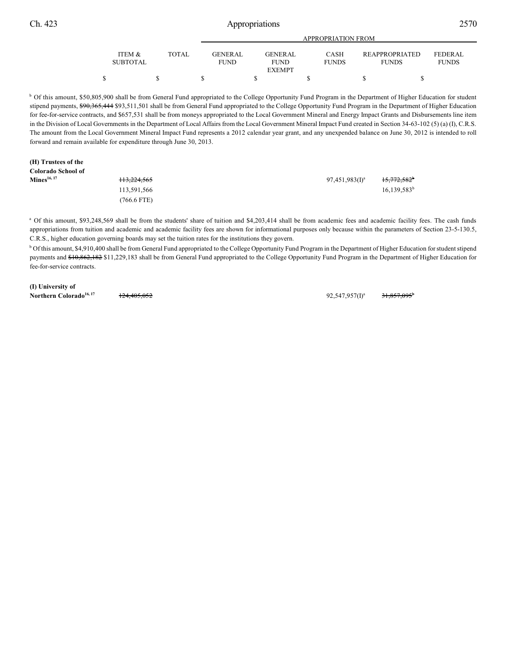EXEMPT

| Ch. 423 | Appropriations  |              |                |                |                    |                       |              |  |
|---------|-----------------|--------------|----------------|----------------|--------------------|-----------------------|--------------|--|
|         |                 |              |                |                | APPROPRIATION FROM |                       |              |  |
|         | ITEM &          | <b>TOTAL</b> | <b>GENERAL</b> | <b>GENERAL</b> | CASH               | <b>REAPPROPRIATED</b> | FEDERAL      |  |
|         | <b>SUBTOTAL</b> |              | <b>FUND</b>    | FUND           | <b>FUNDS</b>       | FUNDS                 | <b>FUNDS</b> |  |

<sup>b</sup> Of this amount, \$50,805,900 shall be from General Fund appropriated to the College Opportunity Fund Program in the Department of Higher Education for student stipend payments, \$90,365,444 \$93,511,501 shall be from General Fund appropriated to the College Opportunity Fund Program in the Department of Higher Education for fee-for-service contracts, and \$657,531 shall be from moneys appropriated to the Local Government Mineral and Energy Impact Grants and Disbursements line item in the Division of Local Governments in the Department of Local Affairs from the Local Government Mineral Impact Fund created in Section 34-63-102 (5) (a) (I), C.R.S. The amount from the Local Government Mineral Impact Fund represents a 2012 calendar year grant, and any unexpended balance on June 30, 2012 is intended to roll forward and remain available for expenditure through June 30, 2013.

 $\begin{array}{ccccccccccc} \texttt{S} & \texttt{S} & \texttt{S} & \texttt{S} & \texttt{S} & \texttt{S} & \texttt{S} & \texttt{S} & \texttt{S} & \texttt{S} & \texttt{S} & \texttt{S} & \texttt{S} & \texttt{S} & \texttt{S} & \texttt{S} & \texttt{S} & \texttt{S} & \texttt{S} & \texttt{S} & \texttt{S} & \texttt{S} & \texttt{S} & \texttt{S} & \texttt{S} & \texttt{S} & \texttt{S} & \texttt{S} & \texttt{S} & \texttt{S} & \$ 

# **(H) Trustees of the**

| Colorado School of      |                        |                   |                         |
|-------------------------|------------------------|-------------------|-------------------------|
| Mines <sup>16, 17</sup> | <del>113.224.565</del> | $97,451,983(1)^a$ | 15,772,582 <sup>b</sup> |
|                         | 113,591,566            |                   | $16,139,583^b$          |
|                         | 766.6 FTE)             |                   |                         |

<sup>a</sup> Of this amount, \$93,248,569 shall be from the students' share of tuition and \$4,203,414 shall be from academic fees and academic facility fees. The cash funds appropriations from tuition and academic and academic facility fees are shown for informational purposes only because within the parameters of Section 23-5-130.5, C.R.S., higher education governing boards may set the tuition rates for the institutions they govern.

<sup>b</sup> Of this amount, \$4,910,400 shall be from General Fund appropriated to the College Opportunity Fund Program in the Department of Higher Education for student stipend payments and \$10,862,182 \$11,229,183 shall be from General Fund appropriated to the College Opportunity Fund Program in the Department of Higher Education for fee-for-service contracts.

**(I) University of Northern Colorado<sup>16, 17</sup> 124,405,052** 124,405,052 124,857,095<sup>1</sup> 21,857,095<sup>1</sup>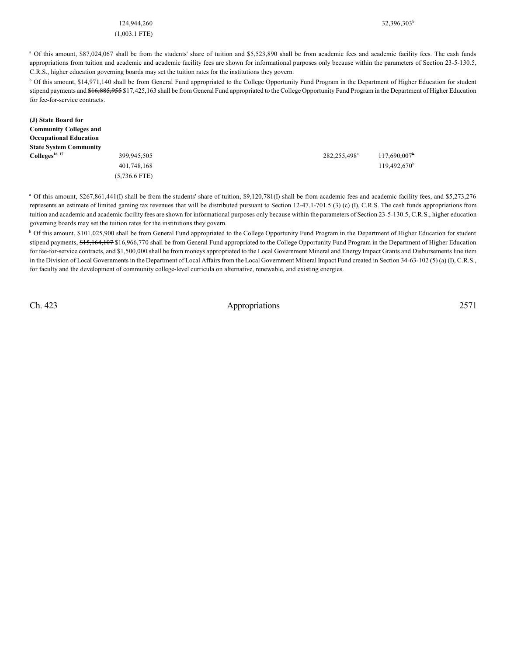### 124,944,260 32,396,303<sup>b</sup>

#### (1,003.1 FTE)

<sup>a</sup> Of this amount, \$87,024,067 shall be from the students' share of tuition and \$5,523,890 shall be from academic fees and academic facility fees. The cash funds appropriations from tuition and academic and academic facility fees are shown for informational purposes only because within the parameters of Section 23-5-130.5, C.R.S., higher education governing boards may set the tuition rates for the institutions they govern.

<sup>b</sup> Of this amount, \$14,971,140 shall be from General Fund appropriated to the College Opportunity Fund Program in the Department of Higher Education for student stipend payments and \$16,885,955 \$17,425,163 shall be from General Fund appropriated to the College Opportunity Fund Program in the Department of Higher Education for fee-for-service contracts.

| (J) State Board for<br><b>Community Colleges and</b><br><b>Occupational Education</b> |                 |                          |                       |
|---------------------------------------------------------------------------------------|-----------------|--------------------------|-----------------------|
| <b>State System Community</b>                                                         |                 |                          |                       |
| $\text{Colleges}^{16, 17}$                                                            | 399,945,505     | 282,255,498 <sup>a</sup> | 117,690,007           |
|                                                                                       | 401,748,168     |                          | $119,492,670^{\rm b}$ |
|                                                                                       | $(5,736.6$ FTE) |                          |                       |

<sup>a</sup> Of this amount, \$267,861,441(I) shall be from the students' share of tuition, \$9,120,781(I) shall be from academic fees and academic facility fees, and \$5,273,276 represents an estimate of limited gaming tax revenues that will be distributed pursuant to Section 12-47.1-701.5 (3) (c) (I), C.R.S. The cash funds appropriations from tuition and academic and academic facility fees are shown for informational purposes only because within the parameters of Section 23-5-130.5, C.R.S., higher education governing boards may set the tuition rates for the institutions they govern.

<sup>b</sup> Of this amount, \$101,025,900 shall be from General Fund appropriated to the College Opportunity Fund Program in the Department of Higher Education for student stipend payments, \$15,164,107 \$16,966,770 shall be from General Fund appropriated to the College Opportunity Fund Program in the Department of Higher Education for fee-for-service contracts, and \$1,500,000 shall be from moneys appropriated to the Local Government Mineral and Energy Impact Grants and Disbursements line item in the Division of Local Governments in the Department of Local Affairs from the Local Government Mineral Impact Fund created in Section 34-63-102 (5) (a) (I), C.R.S., for faculty and the development of community college-level curricula on alternative, renewable, and existing energies.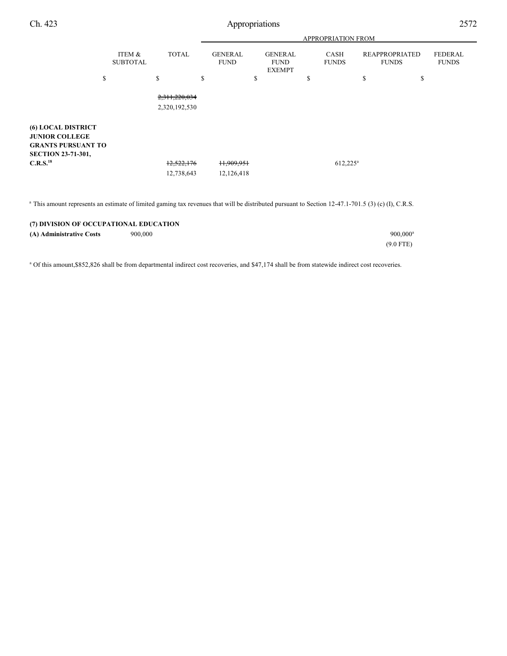| Ch. 423                                                                                                      |                           |                                | Appropriations                |                                                |                             |                                       | 2572                           |
|--------------------------------------------------------------------------------------------------------------|---------------------------|--------------------------------|-------------------------------|------------------------------------------------|-----------------------------|---------------------------------------|--------------------------------|
|                                                                                                              |                           |                                |                               |                                                | <b>APPROPRIATION FROM</b>   |                                       |                                |
|                                                                                                              | ITEM &<br><b>SUBTOTAL</b> | <b>TOTAL</b>                   | <b>GENERAL</b><br><b>FUND</b> | <b>GENERAL</b><br><b>FUND</b><br><b>EXEMPT</b> | <b>CASH</b><br><b>FUNDS</b> | <b>REAPPROPRIATED</b><br><b>FUNDS</b> | <b>FEDERAL</b><br><b>FUNDS</b> |
|                                                                                                              | \$                        | \$                             | \$                            | \$                                             | \$                          | \$<br>\$                              |                                |
|                                                                                                              |                           | 2,311,220,034<br>2,320,192,530 |                               |                                                |                             |                                       |                                |
| <b>(6) LOCAL DISTRICT</b><br><b>JUNIOR COLLEGE</b><br><b>GRANTS PURSUANT TO</b><br><b>SECTION 23-71-301,</b> |                           |                                |                               |                                                |                             |                                       |                                |
| C.R.S. <sup>18</sup>                                                                                         |                           | 12,522,176                     | 11,909,951                    |                                                | $612,225^{\rm a}$           |                                       |                                |
|                                                                                                              |                           | 12,738,643                     | 12,126,418                    |                                                |                             |                                       |                                |

<sup>a</sup> This amount represents an estimate of limited gaming tax revenues that will be distributed pursuant to Section 12-47.1-701.5 (3) (c) (I), C.R.S.

| (7) DIVISION OF OCCUPATIONAL EDUCATION |         |                        |  |  |
|----------------------------------------|---------|------------------------|--|--|
| (A) Administrative Costs               | 900,000 | $900.000$ <sup>a</sup> |  |  |
|                                        |         | $(9.0$ FTE)            |  |  |

<sup>a</sup> Of this amount, \$852,826 shall be from departmental indirect cost recoveries, and \$47,174 shall be from statewide indirect cost recoveries.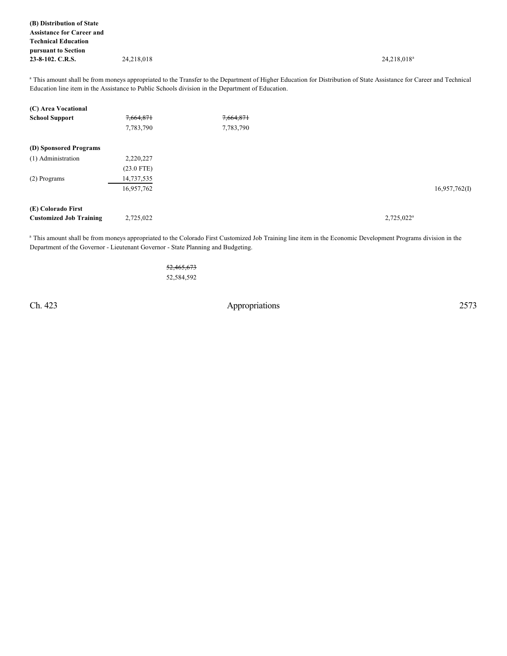**(B) Distribution of State Assistance for Career and Technical Education pursuant to Section 23-8-102. C.R.S.** 24,218,018 24,218,018 24,218,018 24,218,018 24,218,018 24,218,018 24,218,018 24,218

<sup>a</sup> This amount shall be from moneys appropriated to the Transfer to the Department of Higher Education for Distribution of State Assistance for Career and Technical Education line item in the Assistance to Public Schools division in the Department of Education.

| (C) Area Vocational            |              |           |               |
|--------------------------------|--------------|-----------|---------------|
| <b>School Support</b>          | 7,664,871    | 7,664,871 |               |
|                                | 7,783,790    | 7,783,790 |               |
| (D) Sponsored Programs         |              |           |               |
| (1) Administration             | 2,220,227    |           |               |
|                                | $(23.0$ FTE) |           |               |
| (2) Programs                   | 14,737,535   |           |               |
|                                | 16,957,762   |           | 16,957,762(I) |
| (E) Colorado First             |              |           |               |
| <b>Customized Job Training</b> | 2,725,022    |           | $2,725,022^a$ |

<sup>a</sup> This amount shall be from moneys appropriated to the Colorado First Customized Job Training line item in the Economic Development Programs division in the Department of the Governor - Lieutenant Governor - State Planning and Budgeting.

> 52,465,673 52,584,592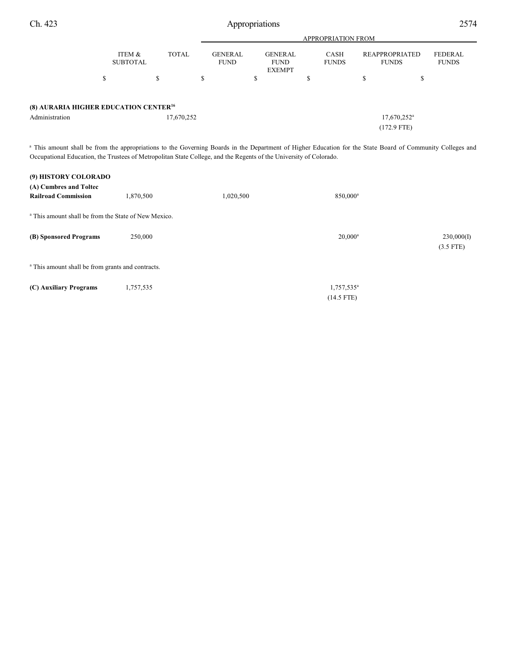|                                                                     |                           |              | <b>APPROPRIATION FROM</b>     |                                                |                      |                                       |                         |  |  |
|---------------------------------------------------------------------|---------------------------|--------------|-------------------------------|------------------------------------------------|----------------------|---------------------------------------|-------------------------|--|--|
|                                                                     | ITEM &<br><b>SUBTOTAL</b> | <b>TOTAL</b> | <b>GENERAL</b><br><b>FUND</b> | <b>GENERAL</b><br><b>FUND</b><br><b>EXEMPT</b> | CASH<br><b>FUNDS</b> | <b>REAPPROPRIATED</b><br><b>FUNDS</b> | FEDERAL<br><b>FUNDS</b> |  |  |
|                                                                     | \$                        | \$           | аĐ.                           | D                                              |                      | S                                     | \$                      |  |  |
| (8) AURARIA HIGHER EDUCATION CENTER <sup>16</sup><br>Administration |                           | 17,670,252   |                               |                                                |                      | $17,670,252$ <sup>a</sup>             |                         |  |  |
|                                                                     |                           |              |                               |                                                |                      | $(172.9$ FTE)                         |                         |  |  |

<sup>a</sup> This amount shall be from the appropriations to the Governing Boards in the Department of Higher Education for the State Board of Community Colleges and Occupational Education, the Trustees of Metropolitan State College, and the Regents of the University of Colorado.

| (9) HISTORY COLORADO                                            |           |           |                                        |                           |
|-----------------------------------------------------------------|-----------|-----------|----------------------------------------|---------------------------|
| (A) Cumbres and Toltec<br><b>Railroad Commission</b>            | 1,870,500 | 1,020,500 | 850,000 <sup>a</sup>                   |                           |
| <sup>a</sup> This amount shall be from the State of New Mexico. |           |           |                                        |                           |
| (B) Sponsored Programs                                          | 250,000   |           | $20,000^a$                             | 230,000(I)<br>$(3.5$ FTE) |
| <sup>a</sup> This amount shall be from grants and contracts.    |           |           |                                        |                           |
| (C) Auxiliary Programs                                          | 1,757,535 |           | 1,757,535 <sup>a</sup><br>$(14.5$ FTE) |                           |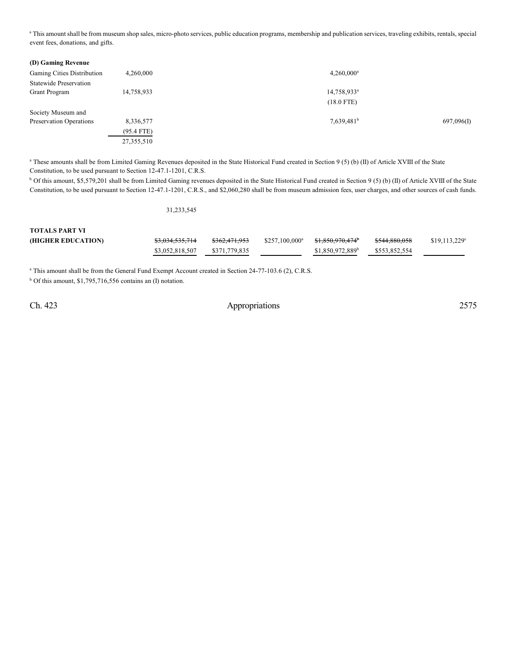<sup>a</sup> This amount shall be from museum shop sales, micro-photo services, public education programs, membership and publication services, traveling exhibits, rentals, special event fees, donations, and gifts.

| (D) Gaming Revenue            |              |                         |            |
|-------------------------------|--------------|-------------------------|------------|
| Gaming Cities Distribution    | 4,260,000    | $4,260,000^a$           |            |
| <b>Statewide Preservation</b> |              |                         |            |
| <b>Grant Program</b>          | 14,758,933   | 14,758,933 <sup>a</sup> |            |
|                               |              | $(18.0$ FTE)            |            |
| Society Museum and            |              |                         |            |
| Preservation Operations       | 8,336,577    | $7,639,481^b$           | 697,096(I) |
|                               | $(95.4$ FTE) |                         |            |
|                               | 27,355,510   |                         |            |

<sup>a</sup> These amounts shall be from Limited Gaming Revenues deposited in the State Historical Fund created in Section 9 (5) (b) (II) of Article XVIII of the State Constitution, to be used pursuant to Section 12-47.1-1201, C.R.S.

<sup>b</sup> Of this amount, \$5,579,201 shall be from Limited Gaming revenues deposited in the State Historical Fund created in Section 9 (5) (b) (II) of Article XVIII of the State Constitution, to be used pursuant to Section 12-47.1-1201, C.R.S., and \$2,060,280 shall be from museum admission fees, user charges, and other sources of cash funds.

## 31,233,545

| <b>TOTALS PART VI</b> |                            |                          |                  |                              |                          |                       |
|-----------------------|----------------------------|--------------------------|------------------|------------------------------|--------------------------|-----------------------|
| (HIGHER EDUCATION)    | <del>\$3,034,535,714</del> | <del>\$362.471.953</del> | $$257.100.000^a$ | <del>\$1,850,970,474</del> ° | <del>\$544.880.058</del> | $$19,113,229^{\circ}$ |
|                       | \$3,052,818,507            | \$371,779,835            |                  | \$1,850,972,889 <sup>b</sup> | \$553.852.554            |                       |

<sup>a</sup> This amount shall be from the General Fund Exempt Account created in Section 24-77-103.6 (2), C.R.S.

 $b$  Of this amount, \$1,795,716,556 contains an (I) notation.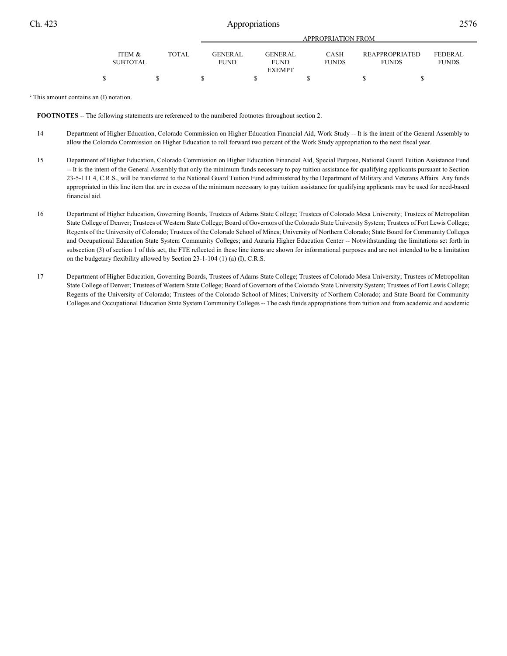| <b>ITEM &amp;</b> | TOTAL. | <b>GENER AL</b> | <b>GENERAL</b> | <b>CASH</b>  |  | REAPPROPRIATED | FEDERAL      |  |
|-------------------|--------|-----------------|----------------|--------------|--|----------------|--------------|--|
| <b>SUBTOTAL</b>   |        | <b>FUND</b>     | <b>FUND</b>    | <b>FUNDS</b> |  | <b>FUNDS</b>   | <b>FUNDS</b> |  |
|                   |        |                 | <b>EXEMPT</b>  |              |  |                |              |  |
|                   |        |                 |                |              |  |                |              |  |

<sup>c</sup> This amount contains an (I) notation.

**FOOTNOTES** -- The following statements are referenced to the numbered footnotes throughout section 2.

- 14 Department of Higher Education, Colorado Commission on Higher Education Financial Aid, Work Study -- It is the intent of the General Assembly to allow the Colorado Commission on Higher Education to roll forward two percent of the Work Study appropriation to the next fiscal year.
- 15 Department of Higher Education, Colorado Commission on Higher Education Financial Aid, Special Purpose, National Guard Tuition Assistance Fund -- It is the intent of the General Assembly that only the minimum funds necessary to pay tuition assistance for qualifying applicants pursuant to Section 23-5-111.4, C.R.S., will be transferred to the National Guard Tuition Fund administered by the Department of Military and Veterans Affairs. Any funds appropriated in this line item that are in excess of the minimum necessary to pay tuition assistance for qualifying applicants may be used for need-based financial aid.
- 16 Department of Higher Education, Governing Boards, Trustees of Adams State College; Trustees of Colorado Mesa University; Trustees of Metropolitan State College of Denver; Trustees of Western State College; Board of Governors of the Colorado State University System; Trustees of Fort Lewis College; Regents of the University of Colorado; Trustees of the Colorado School of Mines; University of Northern Colorado; State Board for Community Colleges and Occupational Education State System Community Colleges; and Auraria Higher Education Center -- Notwithstanding the limitations set forth in subsection (3) of section 1 of this act, the FTE reflected in these line items are shown for informational purposes and are not intended to be a limitation on the budgetary flexibility allowed by Section 23-1-104 (1) (a) (I), C.R.S.
- 17 Department of Higher Education, Governing Boards, Trustees of Adams State College; Trustees of Colorado Mesa University; Trustees of Metropolitan State College of Denver; Trustees of Western State College; Board of Governors of the Colorado State University System; Trustees of Fort Lewis College; Regents of the University of Colorado; Trustees of the Colorado School of Mines; University of Northern Colorado; and State Board for Community Colleges and Occupational Education State System Community Colleges -- The cash funds appropriations from tuition and from academic and academic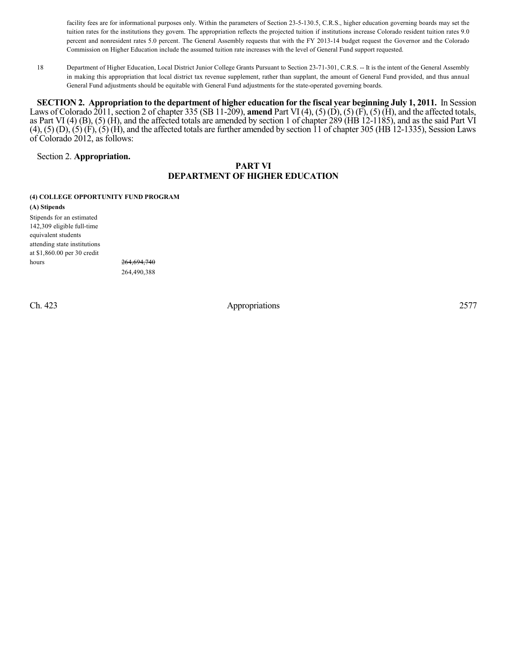facility fees are for informational purposes only. Within the parameters of Section 23-5-130.5, C.R.S., higher education governing boards may set the tuition rates for the institutions they govern. The appropriation reflects the projected tuition if institutions increase Colorado resident tuition rates 9.0 percent and nonresident rates 5.0 percent. The General Assembly requests that with the FY 2013-14 budget request the Governor and the Colorado Commission on Higher Education include the assumed tuition rate increases with the level of General Fund support requested.

18 Department of Higher Education, Local District Junior College Grants Pursuant to Section 23-71-301, C.R.S. -- It is the intent of the General Assembly in making this appropriation that local district tax revenue supplement, rather than supplant, the amount of General Fund provided, and thus annual General Fund adjustments should be equitable with General Fund adjustments for the state-operated governing boards.

**SECTION 2.** Appropriation to the department of higher education for the fiscal year beginning July 1, 2011. In Session Laws of Colorado 2011, section 2 of chapter 335 (SB 11-209), **amend** Part VI (4), (5) (D), (5) (F), (5) (H), and the affected totals, as Part VI (4) (B), (5) (H), and the affected totals are amended by section 1 of chapter 289 (HB 12-1185), and as the said Part VI  $(4)$ ,  $(5)$   $(D)$ ,  $(5)$   $(F)$ ,  $(5)$   $(H)$ , and the affected totals are further amended by section 11 of chapter 305 (HB 12-1335), Session Laws of Colorado 2012, as follows:

## Section 2. **Appropriation.**

## **PART VI DEPARTMENT OF HIGHER EDUCATION**

### **(4) COLLEGE OPPORTUNITY FUND PROGRAM**

**(A) Stipends** Stipends for an estimated 142,309 eligible full-time equivalent students attending state institutions at \$1,860.00 per 30 credit hours 264,694,740

264,490,388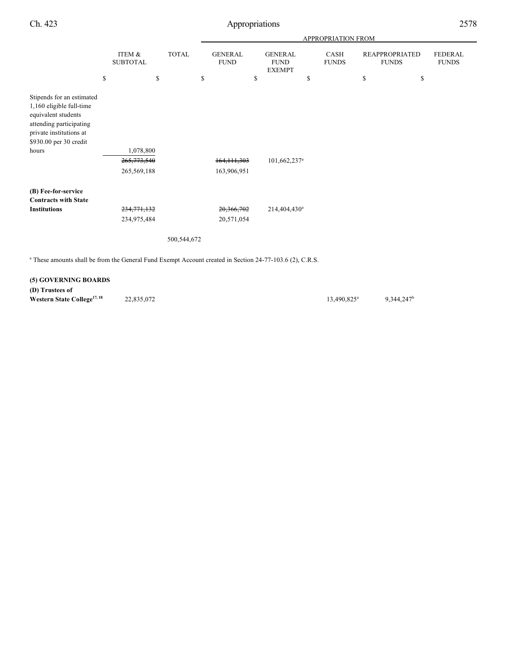|                                                                                                                                                                       |                                         |                    | APPROPRIATION FROM |                               |    |                                                |    |                      |    |                                             |                                |  |
|-----------------------------------------------------------------------------------------------------------------------------------------------------------------------|-----------------------------------------|--------------------|--------------------|-------------------------------|----|------------------------------------------------|----|----------------------|----|---------------------------------------------|--------------------------------|--|
|                                                                                                                                                                       | \$<br>ITEM &<br><b>SUBTOTAL</b>         | \$<br><b>TOTAL</b> | \$                 | <b>GENERAL</b><br><b>FUND</b> | \$ | <b>GENERAL</b><br><b>FUND</b><br><b>EXEMPT</b> | \$ | CASH<br><b>FUNDS</b> | \$ | <b>REAPPROPRIATED</b><br><b>FUNDS</b><br>\$ | <b>FEDERAL</b><br><b>FUNDS</b> |  |
|                                                                                                                                                                       |                                         |                    |                    |                               |    |                                                |    |                      |    |                                             |                                |  |
| Stipends for an estimated<br>1,160 eligible full-time<br>equivalent students<br>attending participating<br>private institutions at<br>\$930.00 per 30 credit<br>hours | 1,078,800<br>265,773,540<br>265,569,188 |                    |                    | 164, 111, 303<br>163,906,951  |    | 101,662,237 <sup>a</sup>                       |    |                      |    |                                             |                                |  |
|                                                                                                                                                                       |                                         |                    |                    |                               |    |                                                |    |                      |    |                                             |                                |  |
| (B) Fee-for-service                                                                                                                                                   |                                         |                    |                    |                               |    |                                                |    |                      |    |                                             |                                |  |
| <b>Contracts with State</b><br><b>Institutions</b>                                                                                                                    | 234,771,132                             |                    |                    | 20,366,702                    |    | 214,404,430 <sup>a</sup>                       |    |                      |    |                                             |                                |  |
|                                                                                                                                                                       | 234,975,484                             |                    |                    | 20,571,054                    |    |                                                |    |                      |    |                                             |                                |  |
|                                                                                                                                                                       |                                         | 500,544,672        |                    |                               |    |                                                |    |                      |    |                                             |                                |  |
| <sup>a</sup> These amounts shall be from the General Fund Exempt Account created in Section 24-77-103.6 (2), C.R.S.                                                   |                                         |                    |                    |                               |    |                                                |    |                      |    |                                             |                                |  |

## **(5) GOVERNING BOARDS**

**(D) Trustees of Western State College<sup>17, 18</sup>** 22,835,072 13,490,825<sup>a</sup> 9,344,247<sup>b</sup>

13,490,825<sup>a</sup>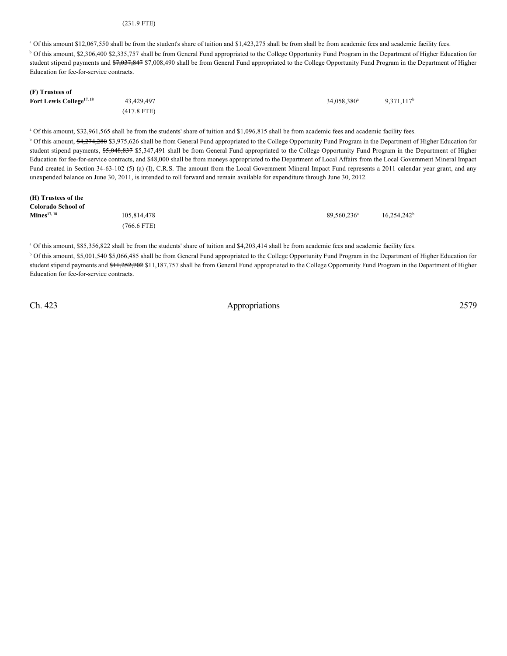#### (231.9 FTE)

<sup>a</sup> Of this amount \$12,067,550 shall be from the student's share of tuition and \$1,423,275 shall be from shall be from academic fees and academic facility fees. <sup>b</sup> Of this amount, \$2,306,400 \$2,335,757 shall be from General Fund appropriated to the College Opportunity Fund Program in the Department of Higher Education for student stipend payments and \$7,037,847 \$7,008,490 shall be from General Fund appropriated to the College Opportunity Fund Program in the Department of Higher Education for fee-for-service contracts.

#### **(F) Trustees of Fort Lewis College<sup>17, 18</sup> 23,429,497** 34,058,380<sup>a</sup> 9,371,117<sup>b</sup> 34,058,380<sup>a</sup> (417.8 FTE)

<sup>a</sup> Of this amount, \$32,961,565 shall be from the students' share of tuition and \$1,096,815 shall be from academic fees and academic facility fees.

<sup>b</sup> Of this amount, \$4,274,280 \$3,975,626 shall be from General Fund appropriated to the College Opportunity Fund Program in the Department of Higher Education for student stipend payments, \$5,048,837 \$5,347,491 shall be from General Fund appropriated to the College Opportunity Fund Program in the Department of Higher Education for fee-for-service contracts, and \$48,000 shall be from moneys appropriated to the Department of Local Affairs from the Local Government Mineral Impact Fund created in Section 34-63-102 (5) (a) (I), C.R.S. The amount from the Local Government Mineral Impact Fund represents a 2011 calendar year grant, and any unexpended balance on June 30, 2011, is intended to roll forward and remain available for expenditure through June 30, 2012.

| (H) Trustees of the     |               |                         |                |
|-------------------------|---------------|-------------------------|----------------|
| Colorado School of      |               |                         |                |
| Mines <sup>17, 18</sup> | 105,814,478   | 89.560.236 <sup>a</sup> | $16,254,242^b$ |
|                         | $(766.6$ FTE) |                         |                |

<sup>a</sup> Of this amount, \$85,356,822 shall be from the students' share of tuition and \$4,203,414 shall be from academic fees and academic facility fees.

<sup>b</sup> Of this amount, \$5,001,540 \$5,066,485 shall be from General Fund appropriated to the College Opportunity Fund Program in the Department of Higher Education for student stipend payments and \$11,252,702 \$11,187,757 shall be from General Fund appropriated to the College Opportunity Fund Program in the Department of Higher Education for fee-for-service contracts.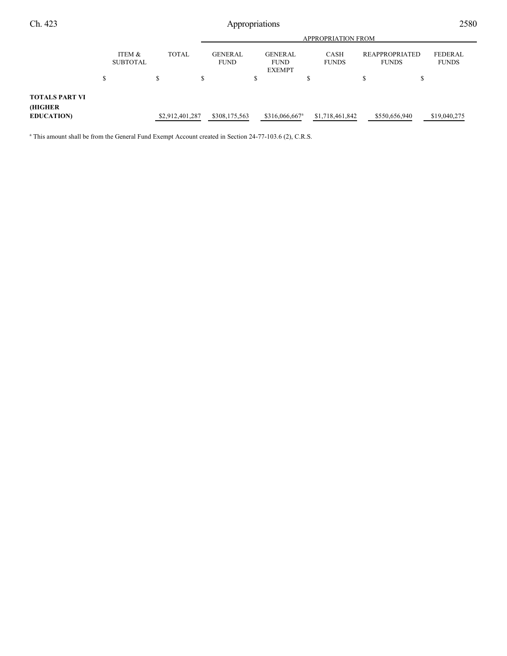|                                  |                           |  |              |                 | <b>APPROPRIATION FROM</b>     |               |                                                |                            |                      |                 |                                       |               |  |                                |  |
|----------------------------------|---------------------------|--|--------------|-----------------|-------------------------------|---------------|------------------------------------------------|----------------------------|----------------------|-----------------|---------------------------------------|---------------|--|--------------------------------|--|
|                                  | ITEM &<br><b>SUBTOTAL</b> |  | <b>TOTAL</b> |                 | <b>GENERAL</b><br><b>FUND</b> |               | <b>GENERAL</b><br><b>FUND</b><br><b>EXEMPT</b> |                            | CASH<br><b>FUNDS</b> |                 | <b>REAPPROPRIATED</b><br><b>FUNDS</b> |               |  | <b>FEDERAL</b><br><b>FUNDS</b> |  |
|                                  | \$                        |  | S.           |                 | S                             |               | \$                                             |                            | J.                   |                 | S                                     | S             |  |                                |  |
| <b>TOTALS PART VI</b><br>(HIGHER |                           |  |              |                 |                               |               |                                                |                            |                      |                 |                                       |               |  |                                |  |
| <b>EDUCATION</b>                 |                           |  |              | \$2,912,401,287 |                               | \$308,175,563 |                                                | \$316,066,667 <sup>a</sup> |                      | \$1,718,461,842 |                                       | \$550,656,940 |  | \$19,040,275                   |  |

<sup>a</sup> This amount shall be from the General Fund Exempt Account created in Section 24-77-103.6 (2), C.R.S.